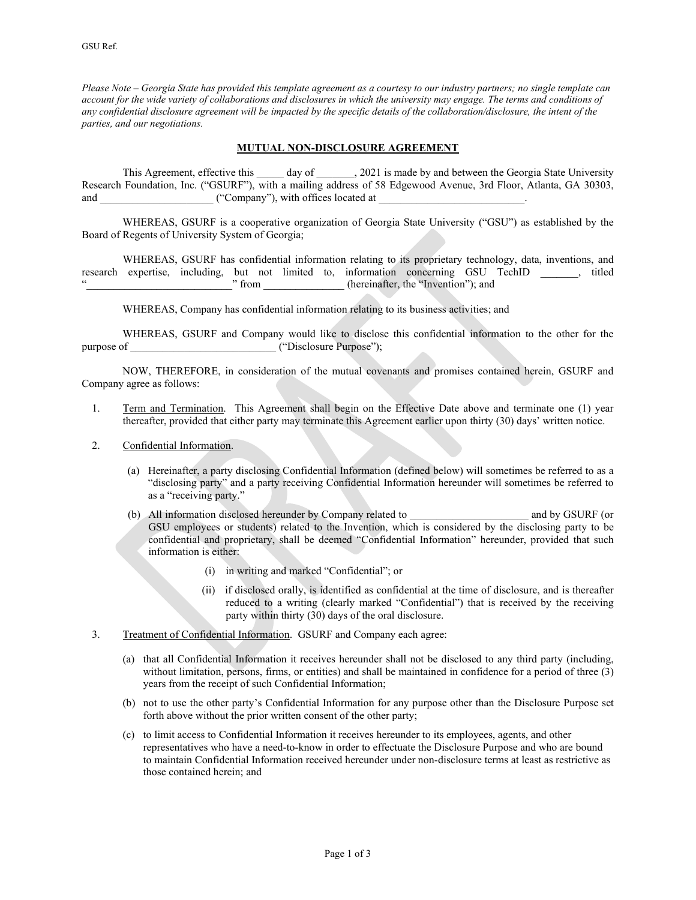*Please Note – Georgia State has provided this template agreement as a courtesy to our industry partners; no single template can account for the wide variety of collaborations and disclosures in which the university may engage. The terms and conditions of any confidential disclosure agreement will be impacted by the specific details of the collaboration/disclosure, the intent of the parties, and our negotiations.* 

## **MUTUAL NON-DISCLOSURE AGREEMENT**

This Agreement, effective this \_\_\_\_\_ day of \_\_\_\_\_\_, 2021 is made by and between the Georgia State University Research Foundation, Inc. ("GSURF"), with a mailing address of 58 Edgewood Avenue, 3rd Floor, Atlanta, GA 30303, and  $($ "Company"), with offices located at

WHEREAS, GSURF is a cooperative organization of Georgia State University ("GSU") as established by the Board of Regents of University System of Georgia;

WHEREAS, GSURF has confidential information relating to its proprietary technology, data, inventions, and research expertise, including, but not limited to, information concerning GSU TechID \_\_\_\_\_, titled <br>"from (hereinafter, the "Invention"); and  $(herenafter, the "Invention")$ ; and

WHEREAS, Company has confidential information relating to its business activities; and

WHEREAS, GSURF and Company would like to disclose this confidential information to the other for the purpose of  $($ "Disclosure Purpose");

NOW, THEREFORE, in consideration of the mutual covenants and promises contained herein, GSURF and Company agree as follows:

- 1. Term and Termination. This Agreement shall begin on the Effective Date above and terminate one (1) year thereafter, provided that either party may terminate this Agreement earlier upon thirty (30) days' written notice.
- 2. Confidential Information.
	- (a) Hereinafter, a party disclosing Confidential Information (defined below) will sometimes be referred to as a "disclosing party" and a party receiving Confidential Information hereunder will sometimes be referred to as a "receiving party."
	- (b) All information disclosed hereunder by Company related to \_\_\_\_\_\_\_\_\_\_\_\_\_\_\_\_\_\_\_\_\_\_ and by GSURF (or GSU employees or students) related to the Invention, which is considered by the disclosing party to be confidential and proprietary, shall be deemed "Confidential Information" hereunder, provided that such information is either:
		- (i) in writing and marked "Confidential"; or
		- (ii) if disclosed orally, is identified as confidential at the time of disclosure, and is thereafter reduced to a writing (clearly marked "Confidential") that is received by the receiving party within thirty (30) days of the oral disclosure.
- 3. Treatment of Confidential Information. GSURF and Company each agree:
	- (a) that all Confidential Information it receives hereunder shall not be disclosed to any third party (including, without limitation, persons, firms, or entities) and shall be maintained in confidence for a period of three (3) years from the receipt of such Confidential Information;
	- (b) not to use the other party's Confidential Information for any purpose other than the Disclosure Purpose set forth above without the prior written consent of the other party;
	- (c) to limit access to Confidential Information it receives hereunder to its employees, agents, and other representatives who have a need-to-know in order to effectuate the Disclosure Purpose and who are bound to maintain Confidential Information received hereunder under non-disclosure terms at least as restrictive as those contained herein; and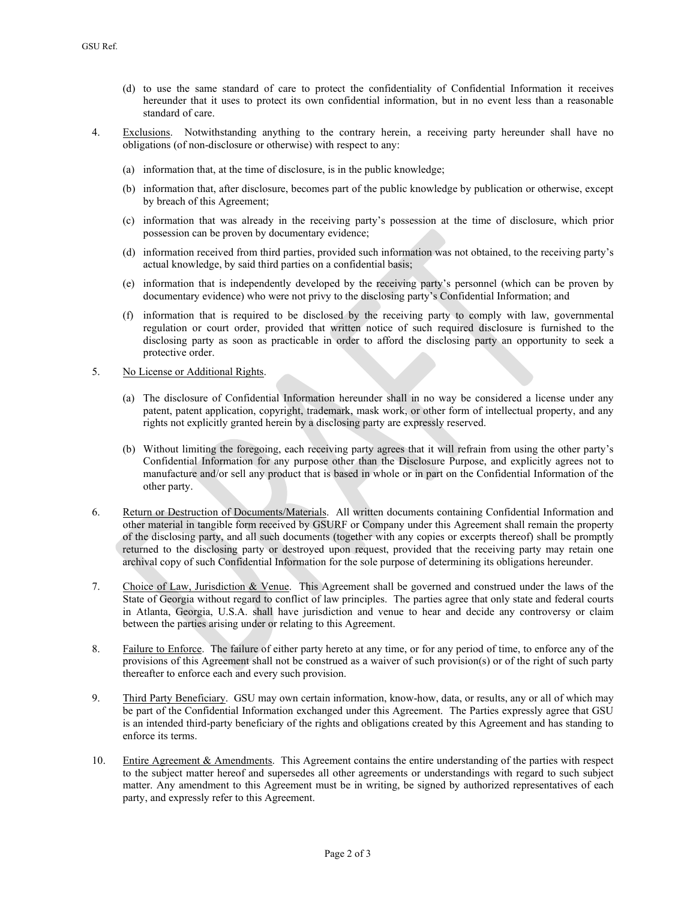- (d) to use the same standard of care to protect the confidentiality of Confidential Information it receives hereunder that it uses to protect its own confidential information, but in no event less than a reasonable standard of care.
- 4. Exclusions. Notwithstanding anything to the contrary herein, a receiving party hereunder shall have no obligations (of non-disclosure or otherwise) with respect to any:
	- (a) information that, at the time of disclosure, is in the public knowledge;
	- (b) information that, after disclosure, becomes part of the public knowledge by publication or otherwise, except by breach of this Agreement;
	- (c) information that was already in the receiving party's possession at the time of disclosure, which prior possession can be proven by documentary evidence;
	- (d) information received from third parties, provided such information was not obtained, to the receiving party's actual knowledge, by said third parties on a confidential basis;
	- (e) information that is independently developed by the receiving party's personnel (which can be proven by documentary evidence) who were not privy to the disclosing party's Confidential Information; and
	- (f) information that is required to be disclosed by the receiving party to comply with law, governmental regulation or court order, provided that written notice of such required disclosure is furnished to the disclosing party as soon as practicable in order to afford the disclosing party an opportunity to seek a protective order.
- 5. No License or Additional Rights.
	- (a) The disclosure of Confidential Information hereunder shall in no way be considered a license under any patent, patent application, copyright, trademark, mask work, or other form of intellectual property, and any rights not explicitly granted herein by a disclosing party are expressly reserved.
	- (b) Without limiting the foregoing, each receiving party agrees that it will refrain from using the other party's Confidential Information for any purpose other than the Disclosure Purpose, and explicitly agrees not to manufacture and/or sell any product that is based in whole or in part on the Confidential Information of the other party.
- 6. Return or Destruction of Documents/Materials. All written documents containing Confidential Information and other material in tangible form received by GSURF or Company under this Agreement shall remain the property of the disclosing party, and all such documents (together with any copies or excerpts thereof) shall be promptly returned to the disclosing party or destroyed upon request, provided that the receiving party may retain one archival copy of such Confidential Information for the sole purpose of determining its obligations hereunder.
- 7. Choice of Law, Jurisdiction & Venue. This Agreement shall be governed and construed under the laws of the State of Georgia without regard to conflict of law principles. The parties agree that only state and federal courts in Atlanta, Georgia, U.S.A. shall have jurisdiction and venue to hear and decide any controversy or claim between the parties arising under or relating to this Agreement.
- 8. Failure to Enforce. The failure of either party hereto at any time, or for any period of time, to enforce any of the provisions of this Agreement shall not be construed as a waiver of such provision(s) or of the right of such party thereafter to enforce each and every such provision.
- 9. Third Party Beneficiary. GSU may own certain information, know-how, data, or results, any or all of which may be part of the Confidential Information exchanged under this Agreement. The Parties expressly agree that GSU is an intended third-party beneficiary of the rights and obligations created by this Agreement and has standing to enforce its terms.
- 10. Entire Agreement & Amendments. This Agreement contains the entire understanding of the parties with respect to the subject matter hereof and supersedes all other agreements or understandings with regard to such subject matter. Any amendment to this Agreement must be in writing, be signed by authorized representatives of each party, and expressly refer to this Agreement.